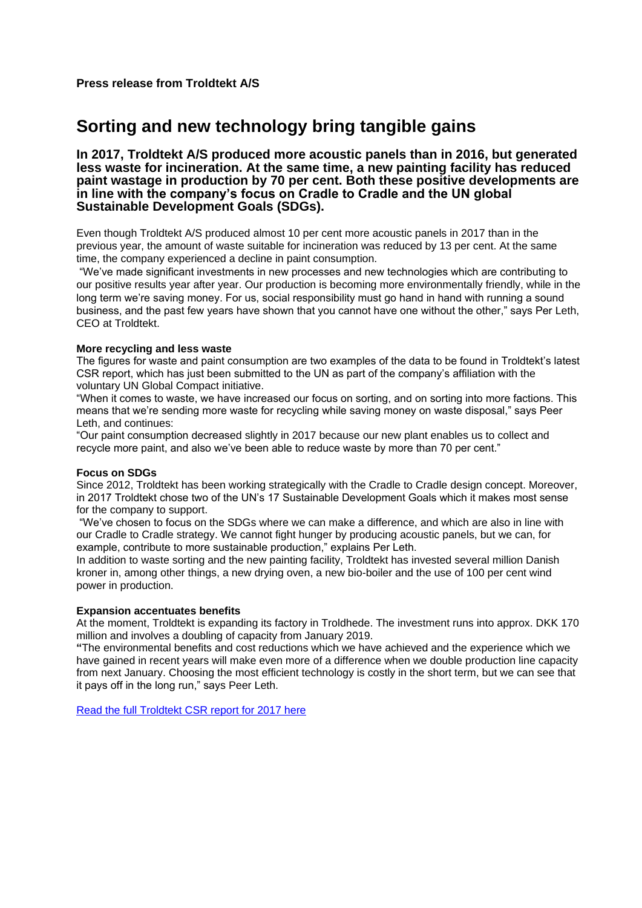# **Sorting and new technology bring tangible gains**

## **In 2017, Troldtekt A/S produced more acoustic panels than in 2016, but generated less waste for incineration. At the same time, a new painting facility has reduced paint wastage in production by 70 per cent. Both these positive developments are in line with the company's focus on Cradle to Cradle and the UN global Sustainable Development Goals (SDGs).**

Even though Troldtekt A/S produced almost 10 per cent more acoustic panels in 2017 than in the previous year, the amount of waste suitable for incineration was reduced by 13 per cent. At the same time, the company experienced a decline in paint consumption.

"We've made significant investments in new processes and new technologies which are contributing to our positive results year after year. Our production is becoming more environmentally friendly, while in the long term we're saving money. For us, social responsibility must go hand in hand with running a sound business, and the past few years have shown that you cannot have one without the other," says Per Leth, CEO at Troldtekt.

### **More recycling and less waste**

The figures for waste and paint consumption are two examples of the data to be found in Troldtekt's latest CSR report, which has just been submitted to the UN as part of the company's affiliation with the voluntary UN Global Compact initiative.

"When it comes to waste, we have increased our focus on sorting, and on sorting into more factions. This means that we're sending more waste for recycling while saving money on waste disposal," says Peer Leth, and continues:

"Our paint consumption decreased slightly in 2017 because our new plant enables us to collect and recycle more paint, and also we've been able to reduce waste by more than 70 per cent."

#### **Focus on SDGs**

Since 2012, Troldtekt has been working strategically with the Cradle to Cradle design concept. Moreover, in 2017 Troldtekt chose two of the UN's 17 Sustainable Development Goals which it makes most sense for the company to support.

"We've chosen to focus on the SDGs where we can make a difference, and which are also in line with our Cradle to Cradle strategy. We cannot fight hunger by producing acoustic panels, but we can, for example, contribute to more sustainable production," explains Per Leth.

In addition to waste sorting and the new painting facility, Troldtekt has invested several million Danish kroner in, among other things, a new drying oven, a new bio-boiler and the use of 100 per cent wind power in production.

#### **Expansion accentuates benefits**

At the moment, Troldtekt is expanding its factory in Troldhede. The investment runs into approx. DKK 170 million and involves a doubling of capacity from January 2019.

**"**The environmental benefits and cost reductions which we have achieved and the experience which we have gained in recent years will make even more of a difference when we double production line capacity from next January. Choosing the most efficient technology is costly in the short term, but we can see that it pays off in the long run," says Peer Leth.

[Read the full Troldtekt CSR report for 2017 here](https://www.troldtekt.com/Environment-and-CSR/CSR)